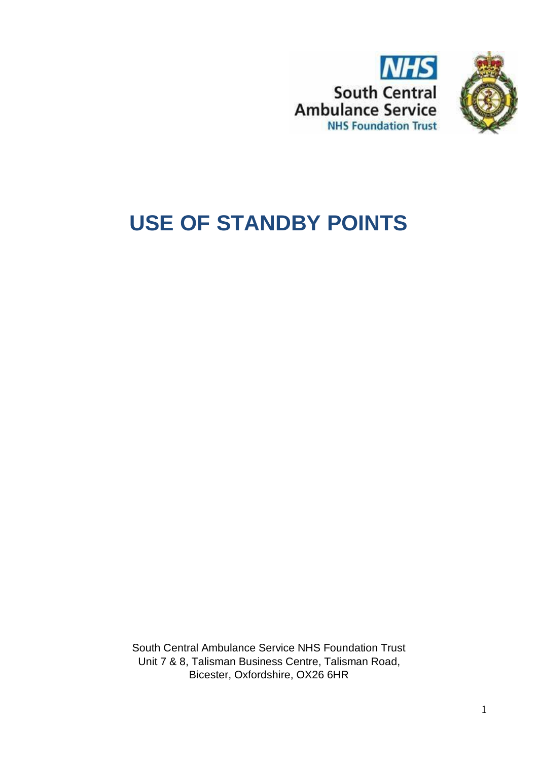



# **USE OF STANDBY POINTS**

South Central Ambulance Service NHS Foundation Trust Unit 7 & 8, Talisman Business Centre, Talisman Road, Bicester, Oxfordshire, OX26 6HR

1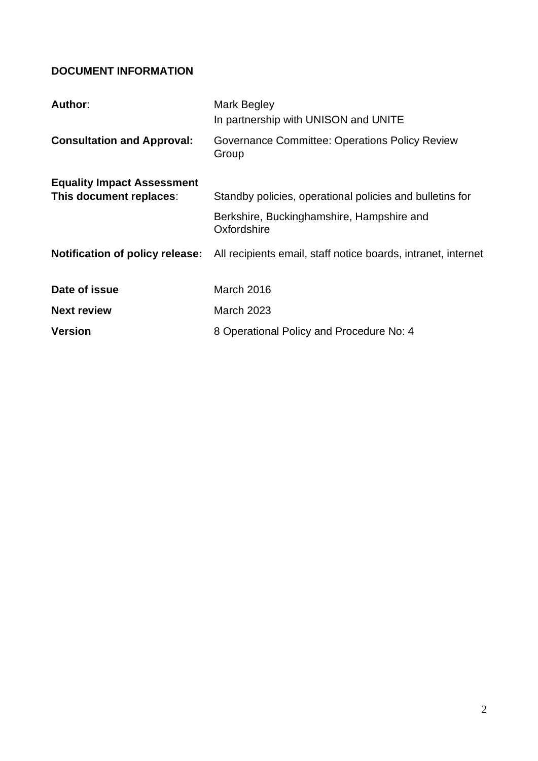## <span id="page-1-0"></span>**DOCUMENT INFORMATION**

| Author:                                | Mark Begley<br>In partnership with UNISON and UNITE            |
|----------------------------------------|----------------------------------------------------------------|
| <b>Consultation and Approval:</b>      | <b>Governance Committee: Operations Policy Review</b><br>Group |
| <b>Equality Impact Assessment</b>      |                                                                |
| This document replaces:                | Standby policies, operational policies and bulletins for       |
|                                        | Berkshire, Buckinghamshire, Hampshire and<br>Oxfordshire       |
| <b>Notification of policy release:</b> | All recipients email, staff notice boards, intranet, internet  |
| Date of issue                          | March 2016                                                     |
| <b>Next review</b>                     | <b>March 2023</b>                                              |
| <b>Version</b>                         | 8 Operational Policy and Procedure No: 4                       |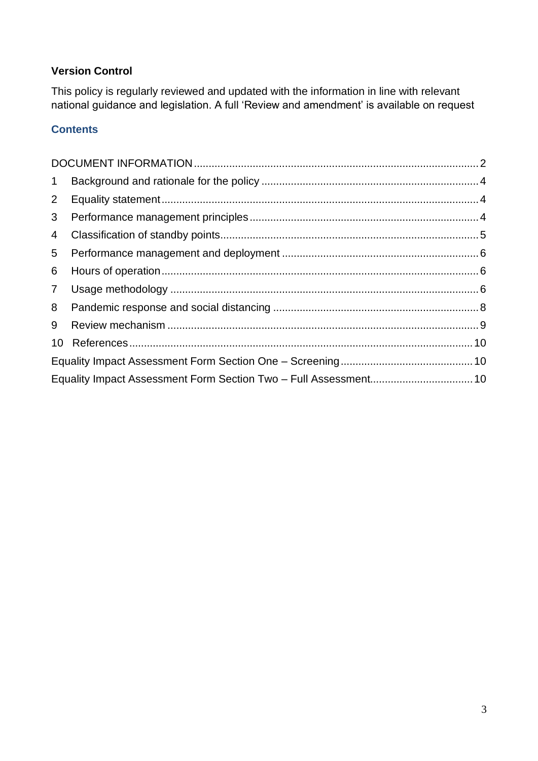## **Version Control**

This policy is regularly reviewed and updated with the information in line with relevant national guidance and legislation. A full 'Review and amendment' is available on request

## **Contents**

| $\mathbf 1$    |  |  |
|----------------|--|--|
| $2^{\circ}$    |  |  |
| 3 <sup>1</sup> |  |  |
| $\overline{4}$ |  |  |
| 5              |  |  |
| 6              |  |  |
|                |  |  |
| 8              |  |  |
| 9              |  |  |
| 10             |  |  |
|                |  |  |
|                |  |  |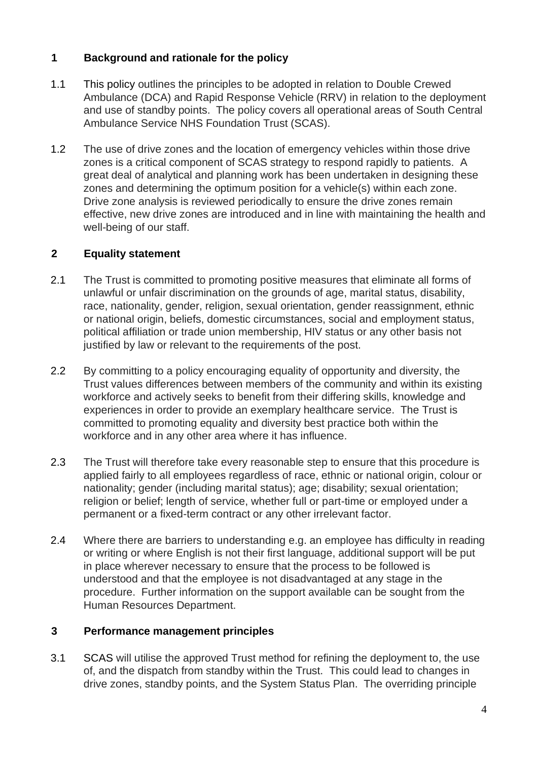## <span id="page-3-0"></span>**1 Background and rationale for the policy**

- 1.1 This policy outlines the principles to be adopted in relation to Double Crewed Ambulance (DCA) and Rapid Response Vehicle (RRV) in relation to the deployment and use of standby points. The policy covers all operational areas of South Central Ambulance Service NHS Foundation Trust (SCAS).
- 1.2 The use of drive zones and the location of emergency vehicles within those drive zones is a critical component of SCAS strategy to respond rapidly to patients. A great deal of analytical and planning work has been undertaken in designing these zones and determining the optimum position for a vehicle(s) within each zone. Drive zone analysis is reviewed periodically to ensure the drive zones remain effective, new drive zones are introduced and in line with maintaining the health and well-being of our staff.

#### <span id="page-3-1"></span>**2 Equality statement**

- 2.1 The Trust is committed to promoting positive measures that eliminate all forms of unlawful or unfair discrimination on the grounds of age, marital status, disability, race, nationality, gender, religion, sexual orientation, gender reassignment, ethnic or national origin, beliefs, domestic circumstances, social and employment status, political affiliation or trade union membership, HIV status or any other basis not justified by law or relevant to the requirements of the post.
- 2.2 By committing to a policy encouraging equality of opportunity and diversity, the Trust values differences between members of the community and within its existing workforce and actively seeks to benefit from their differing skills, knowledge and experiences in order to provide an exemplary healthcare service. The Trust is committed to promoting equality and diversity best practice both within the workforce and in any other area where it has influence.
- 2.3 The Trust will therefore take every reasonable step to ensure that this procedure is applied fairly to all employees regardless of race, ethnic or national origin, colour or nationality; gender (including marital status); age; disability; sexual orientation; religion or belief; length of service, whether full or part-time or employed under a permanent or a fixed-term contract or any other irrelevant factor.
- 2.4 Where there are barriers to understanding e.g. an employee has difficulty in reading or writing or where English is not their first language, additional support will be put in place wherever necessary to ensure that the process to be followed is understood and that the employee is not disadvantaged at any stage in the procedure. Further information on the support available can be sought from the Human Resources Department.

## <span id="page-3-2"></span>**3 Performance management principles**

3.1 SCAS will utilise the approved Trust method for refining the deployment to, the use of, and the dispatch from standby within the Trust. This could lead to changes in drive zones, standby points, and the System Status Plan. The overriding principle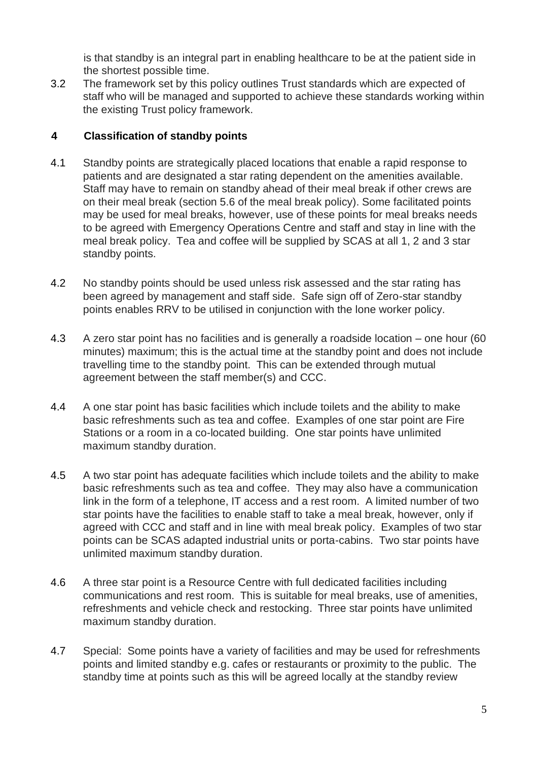is that standby is an integral part in enabling healthcare to be at the patient side in the shortest possible time.

3.2 The framework set by this policy outlines Trust standards which are expected of staff who will be managed and supported to achieve these standards working within the existing Trust policy framework.

## <span id="page-4-0"></span>**4 Classification of standby points**

- 4.1 Standby points are strategically placed locations that enable a rapid response to patients and are designated a star rating dependent on the amenities available. Staff may have to remain on standby ahead of their meal break if other crews are on their meal break (section 5.6 of the meal break policy). Some facilitated points may be used for meal breaks, however, use of these points for meal breaks needs to be agreed with Emergency Operations Centre and staff and stay in line with the meal break policy. Tea and coffee will be supplied by SCAS at all 1, 2 and 3 star standby points.
- 4.2 No standby points should be used unless risk assessed and the star rating has been agreed by management and staff side. Safe sign off of Zero-star standby points enables RRV to be utilised in conjunction with the lone worker policy.
- 4.3 A zero star point has no facilities and is generally a roadside location one hour (60 minutes) maximum; this is the actual time at the standby point and does not include travelling time to the standby point. This can be extended through mutual agreement between the staff member(s) and CCC.
- 4.4 A one star point has basic facilities which include toilets and the ability to make basic refreshments such as tea and coffee. Examples of one star point are Fire Stations or a room in a co-located building. One star points have unlimited maximum standby duration.
- 4.5 A two star point has adequate facilities which include toilets and the ability to make basic refreshments such as tea and coffee. They may also have a communication link in the form of a telephone, IT access and a rest room. A limited number of two star points have the facilities to enable staff to take a meal break, however, only if agreed with CCC and staff and in line with meal break policy. Examples of two star points can be SCAS adapted industrial units or porta-cabins. Two star points have unlimited maximum standby duration.
- 4.6 A three star point is a Resource Centre with full dedicated facilities including communications and rest room. This is suitable for meal breaks, use of amenities, refreshments and vehicle check and restocking. Three star points have unlimited maximum standby duration.
- 4.7 Special: Some points have a variety of facilities and may be used for refreshments points and limited standby e.g. cafes or restaurants or proximity to the public. The standby time at points such as this will be agreed locally at the standby review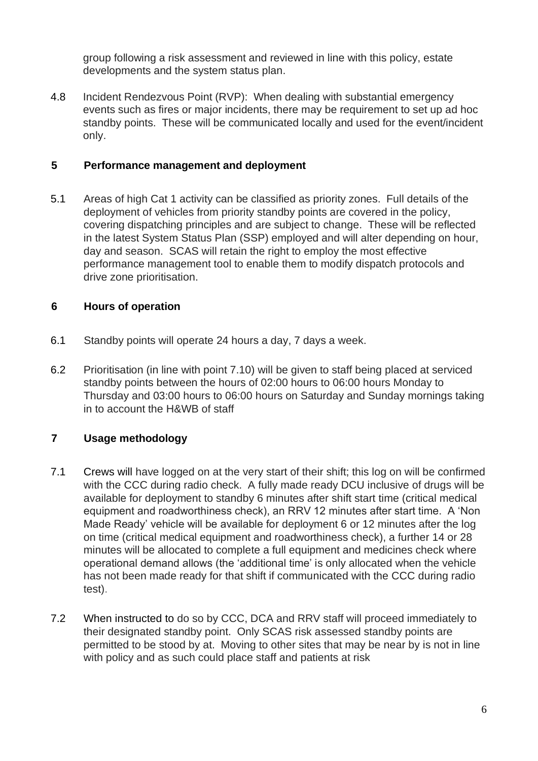group following a risk assessment and reviewed in line with this policy, estate developments and the system status plan.

4.8 Incident Rendezvous Point (RVP): When dealing with substantial emergency events such as fires or major incidents, there may be requirement to set up ad hoc standby points. These will be communicated locally and used for the event/incident only.

#### <span id="page-5-0"></span>**5 Performance management and deployment**

5.1 Areas of high Cat 1 activity can be classified as priority zones. Full details of the deployment of vehicles from priority standby points are covered in the policy, covering dispatching principles and are subject to change. These will be reflected in the latest System Status Plan (SSP) employed and will alter depending on hour, day and season. SCAS will retain the right to employ the most effective performance management tool to enable them to modify dispatch protocols and drive zone prioritisation.

#### <span id="page-5-1"></span>**6 Hours of operation**

- 6.1 Standby points will operate 24 hours a day, 7 days a week.
- 6.2 Prioritisation (in line with point 7.10) will be given to staff being placed at serviced standby points between the hours of 02:00 hours to 06:00 hours Monday to Thursday and 03:00 hours to 06:00 hours on Saturday and Sunday mornings taking in to account the H&WB of staff

## <span id="page-5-2"></span>**7 Usage methodology**

- 7.1 Crews will have logged on at the very start of their shift; this log on will be confirmed with the CCC during radio check. A fully made ready DCU inclusive of drugs will be available for deployment to standby 6 minutes after shift start time (critical medical equipment and roadworthiness check), an RRV 12 minutes after start time. A 'Non Made Ready' vehicle will be available for deployment 6 or 12 minutes after the log on time (critical medical equipment and roadworthiness check), a further 14 or 28 minutes will be allocated to complete a full equipment and medicines check where operational demand allows (the 'additional time' is only allocated when the vehicle has not been made ready for that shift if communicated with the CCC during radio test).
- 7.2 When instructed to do so by CCC, DCA and RRV staff will proceed immediately to their designated standby point. Only SCAS risk assessed standby points are permitted to be stood by at. Moving to other sites that may be near by is not in line with policy and as such could place staff and patients at risk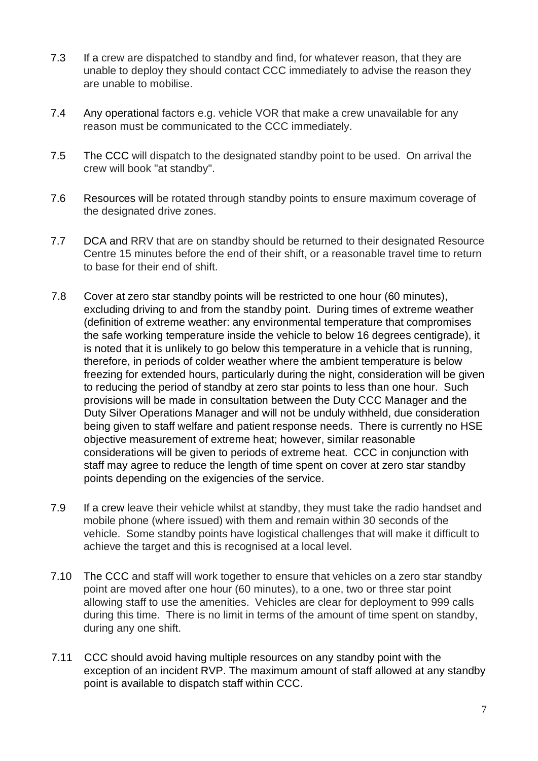- 7.3 If a crew are dispatched to standby and find, for whatever reason, that they are unable to deploy they should contact CCC immediately to advise the reason they are unable to mobilise.
- 7.4 Any operational factors e.g. vehicle VOR that make a crew unavailable for any reason must be communicated to the CCC immediately.
- 7.5 The CCC will dispatch to the designated standby point to be used. On arrival the crew will book "at standby".
- 7.6 Resources will be rotated through standby points to ensure maximum coverage of the designated drive zones.
- 7.7 DCA and RRV that are on standby should be returned to their designated Resource Centre 15 minutes before the end of their shift, or a reasonable travel time to return to base for their end of shift.
- 7.8 Cover at zero star standby points will be restricted to one hour (60 minutes), excluding driving to and from the standby point. During times of extreme weather (definition of extreme weather: any environmental temperature that compromises the safe working temperature inside the vehicle to below 16 degrees centigrade), it is noted that it is unlikely to go below this temperature in a vehicle that is running, therefore, in periods of colder weather where the ambient temperature is below freezing for extended hours, particularly during the night, consideration will be given to reducing the period of standby at zero star points to less than one hour. Such provisions will be made in consultation between the Duty CCC Manager and the Duty Silver Operations Manager and will not be unduly withheld, due consideration being given to staff welfare and patient response needs. There is currently no HSE objective measurement of extreme heat; however, similar reasonable considerations will be given to periods of extreme heat. CCC in conjunction with staff may agree to reduce the length of time spent on cover at zero star standby points depending on the exigencies of the service.
- 7.9 If a crew leave their vehicle whilst at standby, they must take the radio handset and mobile phone (where issued) with them and remain within 30 seconds of the vehicle. Some standby points have logistical challenges that will make it difficult to achieve the target and this is recognised at a local level.
- 7.10 The CCC and staff will work together to ensure that vehicles on a zero star standby point are moved after one hour (60 minutes), to a one, two or three star point allowing staff to use the amenities. Vehicles are clear for deployment to 999 calls during this time. There is no limit in terms of the amount of time spent on standby, during any one shift.
- 7.11 CCC should avoid having multiple resources on any standby point with the exception of an incident RVP. The maximum amount of staff allowed at any standby point is available to dispatch staff within CCC.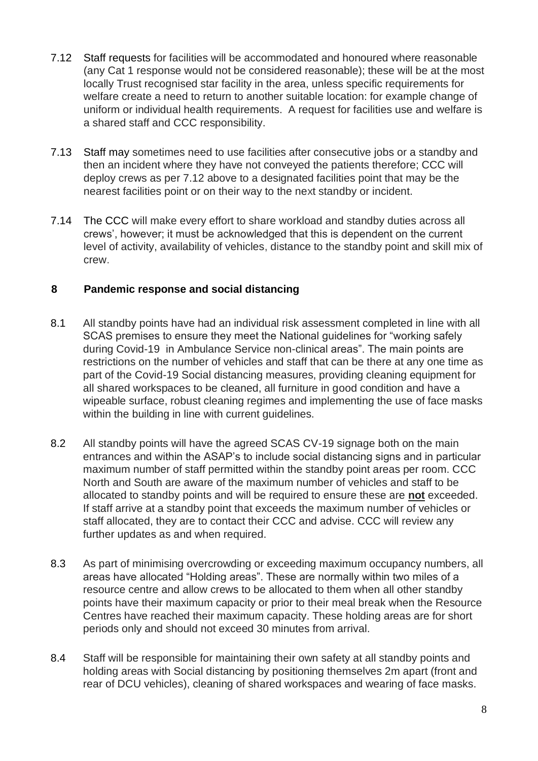- 7.12 Staff requests for facilities will be accommodated and honoured where reasonable (any Cat 1 response would not be considered reasonable); these will be at the most locally Trust recognised star facility in the area, unless specific requirements for welfare create a need to return to another suitable location: for example change of uniform or individual health requirements. A request for facilities use and welfare is a shared staff and CCC responsibility.
- 7.13 Staff may sometimes need to use facilities after consecutive jobs or a standby and then an incident where they have not conveyed the patients therefore; CCC will deploy crews as per 7.12 above to a designated facilities point that may be the nearest facilities point or on their way to the next standby or incident.
- 7.14 The CCC will make every effort to share workload and standby duties across all crews', however; it must be acknowledged that this is dependent on the current level of activity, availability of vehicles, distance to the standby point and skill mix of crew.

#### <span id="page-7-0"></span>**8 Pandemic response and social distancing**

- 8.1 All standby points have had an individual risk assessment completed in line with all SCAS premises to ensure they meet the National guidelines for "working safely during Covid-19 in Ambulance Service non-clinical areas". The main points are restrictions on the number of vehicles and staff that can be there at any one time as part of the Covid-19 Social distancing measures, providing cleaning equipment for all shared workspaces to be cleaned, all furniture in good condition and have a wipeable surface, robust cleaning regimes and implementing the use of face masks within the building in line with current guidelines.
- 8.2 All standby points will have the agreed SCAS CV-19 signage both on the main entrances and within the ASAP's to include social distancing signs and in particular maximum number of staff permitted within the standby point areas per room. CCC North and South are aware of the maximum number of vehicles and staff to be allocated to standby points and will be required to ensure these are **not** exceeded. If staff arrive at a standby point that exceeds the maximum number of vehicles or staff allocated, they are to contact their CCC and advise. CCC will review any further updates as and when required.
- 8.3 As part of minimising overcrowding or exceeding maximum occupancy numbers, all areas have allocated "Holding areas". These are normally within two miles of a resource centre and allow crews to be allocated to them when all other standby points have their maximum capacity or prior to their meal break when the Resource Centres have reached their maximum capacity. These holding areas are for short periods only and should not exceed 30 minutes from arrival.
- 8.4 Staff will be responsible for maintaining their own safety at all standby points and holding areas with Social distancing by positioning themselves 2m apart (front and rear of DCU vehicles), cleaning of shared workspaces and wearing of face masks.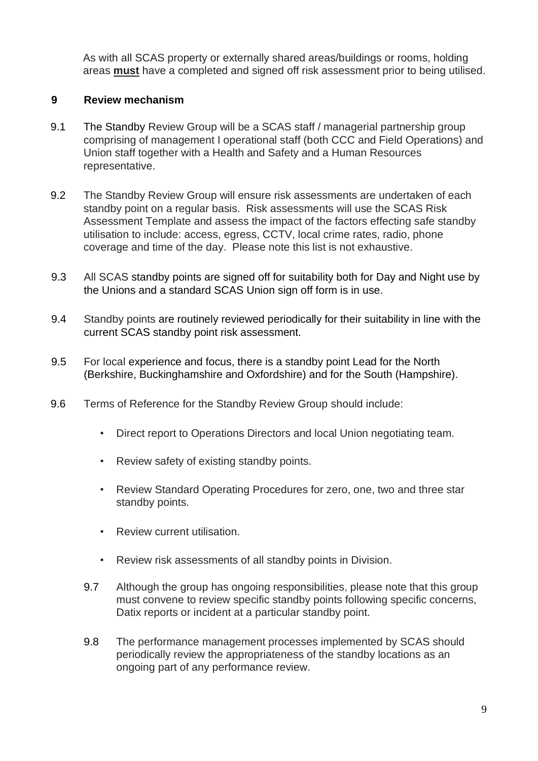As with all SCAS property or externally shared areas/buildings or rooms, holding areas **must** have a completed and signed off risk assessment prior to being utilised.

#### <span id="page-8-0"></span>**9 Review mechanism**

- 9.1 The Standby Review Group will be a SCAS staff / managerial partnership group comprising of management I operational staff (both CCC and Field Operations) and Union staff together with a Health and Safety and a Human Resources representative.
- 9.2 The Standby Review Group will ensure risk assessments are undertaken of each standby point on a regular basis. Risk assessments will use the SCAS Risk Assessment Template and assess the impact of the factors effecting safe standby utilisation to include: access, egress, CCTV, local crime rates, radio, phone coverage and time of the day. Please note this list is not exhaustive.
- 9.3 All SCAS standby points are signed off for suitability both for Day and Night use by the Unions and a standard SCAS Union sign off form is in use.
- 9.4 Standby points are routinely reviewed periodically for their suitability in line with the current SCAS standby point risk assessment.
- 9.5 For local experience and focus, there is a standby point Lead for the North (Berkshire, Buckinghamshire and Oxfordshire) and for the South (Hampshire).
- 9.6 Terms of Reference for the Standby Review Group should include:
	- Direct report to Operations Directors and local Union negotiating team.
	- Review safety of existing standby points.
	- Review Standard Operating Procedures for zero, one, two and three star standby points.
	- Review current utilisation
	- Review risk assessments of all standby points in Division.
	- 9.7 Although the group has ongoing responsibilities, please note that this group must convene to review specific standby points following specific concerns, Datix reports or incident at a particular standby point.
	- 9.8 The performance management processes implemented by SCAS should periodically review the appropriateness of the standby locations as an ongoing part of any performance review.